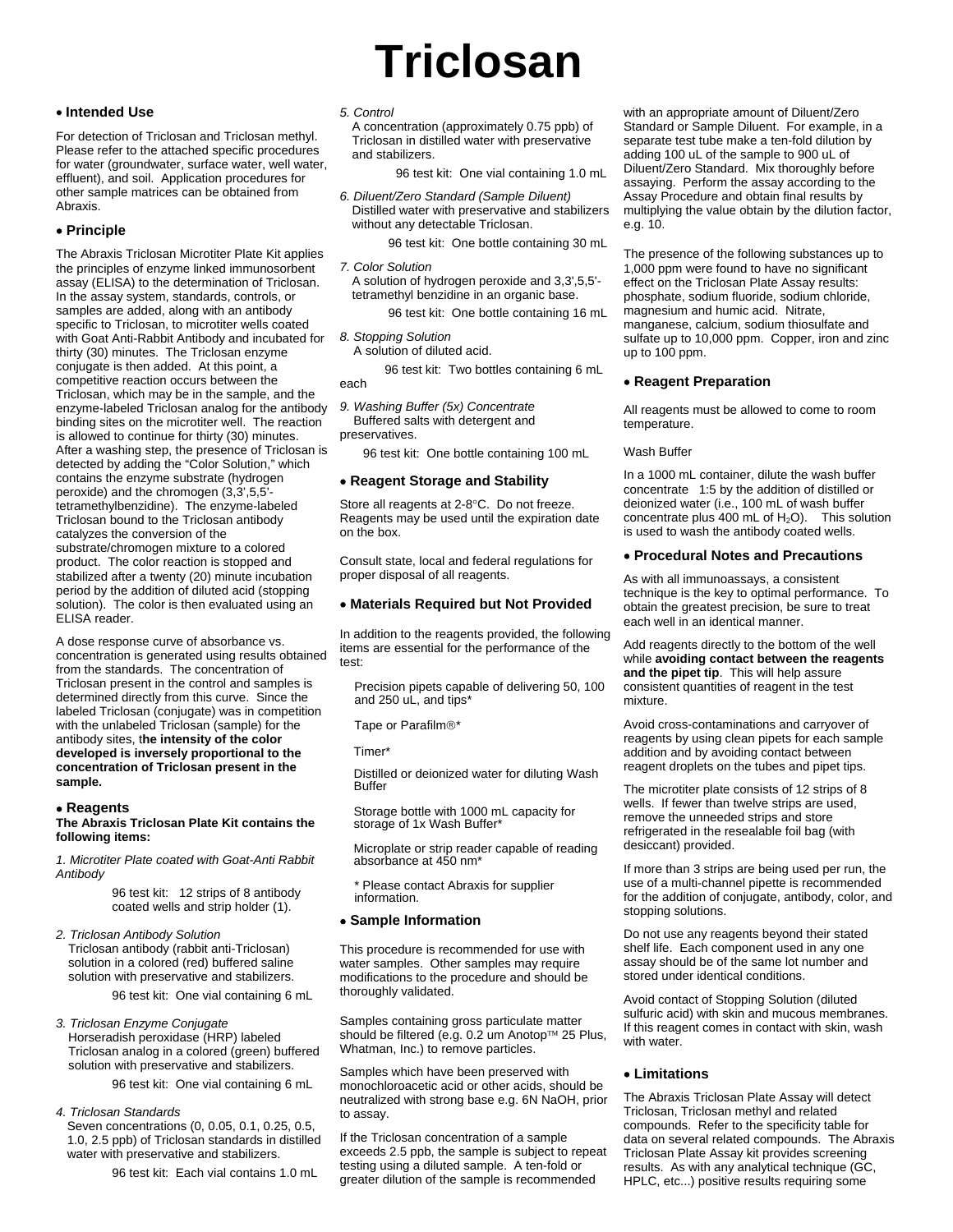# **Triclosan**

# • **Intended Use**

For detection of Triclosan and Triclosan methyl. Please refer to the attached specific procedures for water (groundwater, surface water, well water, effluent), and soil. Application procedures for other sample matrices can be obtained from Abraxis.

# • **Principle**

The Abraxis Triclosan Microtiter Plate Kit applies the principles of enzyme linked immunosorbent assay (ELISA) to the determination of Triclosan. In the assay system, standards, controls, or samples are added, along with an antibody specific to Triclosan, to microtiter wells coated with Goat Anti-Rabbit Antibody and incubated for thirty (30) minutes. The Triclosan enzyme conjugate is then added. At this point, a competitive reaction occurs between the Triclosan, which may be in the sample, and the enzyme-labeled Triclosan analog for the antibody binding sites on the microtiter well. The reaction is allowed to continue for thirty (30) minutes. After a washing step, the presence of Triclosan is detected by adding the "Color Solution," which contains the enzyme substrate (hydrogen peroxide) and the chromogen (3,3',5,5' tetramethylbenzidine). The enzyme-labeled Triclosan bound to the Triclosan antibody catalyzes the conversion of the substrate/chromogen mixture to a colored product. The color reaction is stopped and stabilized after a twenty (20) minute incubation period by the addition of diluted acid (stopping solution). The color is then evaluated using an ELISA reader.

A dose response curve of absorbance vs. concentration is generated using results obtained from the standards. The concentration of Triclosan present in the control and samples is determined directly from this curve. Since the labeled Triclosan (conjugate) was in competition with the unlabeled Triclosan (sample) for the antibody sites, t**he intensity of the color developed is inversely proportional to the concentration of Triclosan present in the sample.**

#### • **Reagents**

#### **The Abraxis Triclosan Plate Kit contains the following items:**

*1. Microtiter Plate coated with Goat-Anti Rabbit Antibody*

> 96 test kit: 12 strips of 8 antibody coated wells and strip holder (1).

*2. Triclosan Antibody Solution*  Triclosan antibody (rabbit anti-Triclosan) solution in a colored (red) buffered saline solution with preservative and stabilizers.

96 test kit: One vial containing 6 mL

*3. Triclosan Enzyme Conjugate* Horseradish peroxidase (HRP) labeled Triclosan analog in a colored (green) buffered solution with preservative and stabilizers.

96 test kit: One vial containing 6 mL

## *4. Triclosan Standards*

Seven concentrations (0, 0.05, 0.1, 0.25, 0.5, 1.0, 2.5 ppb) of Triclosan standards in distilled water with preservative and stabilizers.

96 test kit: Each vial contains 1.0 mL

# *5. Control*

A concentration (approximately 0.75 ppb) of Triclosan in distilled water with preservative and stabilizers.

96 test kit: One vial containing 1.0 mL

*6. Diluent/Zero Standard (Sample Diluent)* Distilled water with preservative and stabilizers without any detectable Triclosan.

96 test kit: One bottle containing 30 mL

*7. Color Solution* A solution of hydrogen peroxide and 3,3',5,5' tetramethyl benzidine in an organic base.

96 test kit: One bottle containing 16 mL

*8. Stopping Solution*

A solution of diluted acid.

 96 test kit: Two bottles containing 6 mL each

*9. Washing Buffer (5x) Concentrate*

 Buffered salts with detergent and preservatives.

96 test kit: One bottle containing 100 mL

## • **Reagent Storage and Stability**

Store all reagents at 2-8°C. Do not freeze. Reagents may be used until the expiration date on the box.

Consult state, local and federal regulations for proper disposal of all reagents.

# • **Materials Required but Not Provided**

In addition to the reagents provided, the following items are essential for the performance of the test:

Precision pipets capable of delivering 50, 100 and 250 uL, and tips\*

Tape or Parafilm®\*

Timer\*

Distilled or deionized water for diluting Wash **Buffer** 

Storage bottle with 1000 mL capacity for storage of 1x Wash Buffer\*

Microplate or strip reader capable of reading absorbance at 450 nm\*

\* Please contact Abraxis for supplier information.

## • **Sample Information**

This procedure is recommended for use with water samples. Other samples may require modifications to the procedure and should be thoroughly validated.

Samples containing gross particulate matter should be filtered (e.g. 0.2 um Anotop™ 25 Plus, Whatman, Inc.) to remove particles.

Samples which have been preserved with monochloroacetic acid or other acids, should be neutralized with strong base e.g. 6N NaOH, prior to assay.

If the Triclosan concentration of a sample exceeds 2.5 ppb, the sample is subject to repeat testing using a diluted sample. A ten-fold or greater dilution of the sample is recommended

with an appropriate amount of Diluent/Zero Standard or Sample Diluent. For example, in a separate test tube make a ten-fold dilution by adding 100 uL of the sample to 900 uL of Diluent/Zero Standard. Mix thoroughly before assaying. Perform the assay according to the Assay Procedure and obtain final results by multiplying the value obtain by the dilution factor, e.g. 10.

The presence of the following substances up to 1,000 ppm were found to have no significant effect on the Triclosan Plate Assay results: phosphate, sodium fluoride, sodium chloride, magnesium and humic acid. Nitrate, manganese, calcium, sodium thiosulfate and sulfate up to 10,000 ppm. Copper, iron and zinc up to 100 ppm.

# • **Reagent Preparation**

All reagents must be allowed to come to room temperature.

#### Wash Buffer

In a 1000 mL container, dilute the wash buffer concentrate 1:5 by the addition of distilled or deionized water (i.e., 100 mL of wash buffer concentrate plus 400 mL of  $H_2O$ ). This solution is used to wash the antibody coated wells.

# • **Procedural Notes and Precautions**

As with all immunoassays, a consistent technique is the key to optimal performance. To obtain the greatest precision, be sure to treat each well in an identical manner.

Add reagents directly to the bottom of the well while **avoiding contact between the reagents and the pipet tip**. This will help assure consistent quantities of reagent in the test mixture.

Avoid cross-contaminations and carryover of reagents by using clean pipets for each sample addition and by avoiding contact between reagent droplets on the tubes and pipet tips.

The microtiter plate consists of 12 strips of 8 wells. If fewer than twelve strips are used, remove the unneeded strips and store refrigerated in the resealable foil bag (with desiccant) provided.

If more than 3 strips are being used per run, the use of a multi-channel pipette is recommended for the addition of conjugate, antibody, color, and stopping solutions.

Do not use any reagents beyond their stated shelf life. Each component used in any one assay should be of the same lot number and stored under identical conditions.

Avoid contact of Stopping Solution (diluted sulfuric acid) with skin and mucous membranes. If this reagent comes in contact with skin, wash with water

# • **Limitations**

The Abraxis Triclosan Plate Assay will detect Triclosan, Triclosan methyl and related compounds. Refer to the specificity table for data on several related compounds. The Abraxis Triclosan Plate Assay kit provides screening results. As with any analytical technique (GC, HPLC, etc...) positive results requiring some